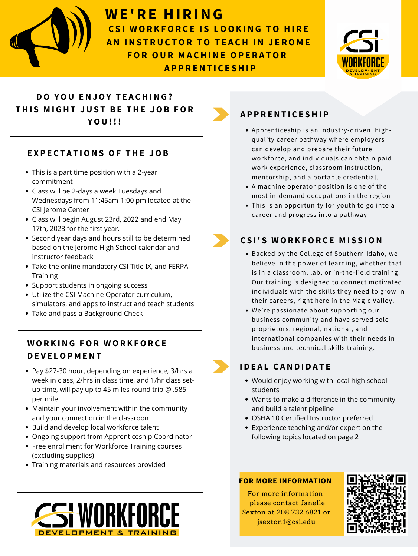- Backed by the College of Southern Idaho, we believe in the power of learning, whether that is in a classroom, lab, or in-the-field training. Our training is designed to connect motivated individuals with the skills they need to grow in their careers, right here in the Magic Valley.
- Utilize the CSI Machine Operator curriculum, simulators, and apps to instruct and teach students
- Take and pass a Background Check



For more information please contact Janelle Sexton at 208.732.6821 or jsexton1@csi.edu



We're passionate about supporting our business community and have served sole proprietors, regional, national, and international companies with their needs in business and technical skills training.

# **C S I ' S W OR K FOR C E M I S S ION**

#### **E X P E C T A T IONS OF THE JOB**

- This is a part time position with a 2-year commitment
- Class will be 2-days a week Tuesdays and Wednesdays from 11:45am-1:00 pm located at the CSI Jerome Center
- Class will begin August 23rd, 2022 and end May 17th, 2023 for the first year.
- Second year days and hours still to be determined based on the Jerome High School calendar and instructor feedback
- Take the online mandatory CSI Title IX, and FERPA **Training**
- Support students in ongoing success

- Pay \$27-30 hour, depending on experience, 3/hrs a week in class, 2/hrs in class time, and 1/hr class setup time, will pay up to 45 miles round trip @ .585 per mile
- Maintain your involvement within the community and your connection in the classroom
- Build and develop local workforce talent
- Ongoing support from Apprenticeship Coordinator
- Free enrollment for Workforce Training courses (excluding supplies)
- Training materials and resources provided



- Apprenticeship is an industry-driven, highquality career pathway where employers can develop and prepare their future workforce, and individuals can obtain paid work experience, classroom instruction, mentorship, and a portable credential.
- A machine operator position is one of the most in-demand occupations in the region
- This is an opportunity for youth to go into a career and progress into a pathway

# **A P P R ENT I C E SHI P**

#### **BUILDING IN REPORT IN SECTION AND ADVANCED IN STRUCT IN STRUCT IN STRUCT IN STRUCT IN STRUCT IN STRUCT IN STRUCT IN STRUCT IN STRUCT IN STRUCT IN STRUCT IN STRUCT IN STRUCT IN STRUCT IN STRUCT IN STRUCT IN STRUCT IN STRUC A A MANUFACTURE**<br> **A A A EXECUTIVE A AFTER A FTEADUATION** CSI Workforce Development and Training Machine Operator School to **WE'RE HIRING C S I W OR K FOR C E I S LOOK ING TO HI R E AN INSTRUCTOR TO TEACH IN JEROME FOR OUR M A CHINE OP E R A TOR A P P R ENT I C E SHI P**



- Would enjoy working with local high school students
- Wants to make a difference in the community and build a talent pipeline
- OSHA 10 Certified Instructor preferred
- Experience teaching and/or expert on the following topics located on page 2

# **I D E A L C AND I D A T E**

# **DO YOU ENJOY T E A CHING ? THI S M I GHT JUS T B E THE JOB FOR YOU!!!**

# **W OR K ING FOR W OR K FOR C E D E V E LOP M ENT**

#### **FOR MORE INFORMATION**